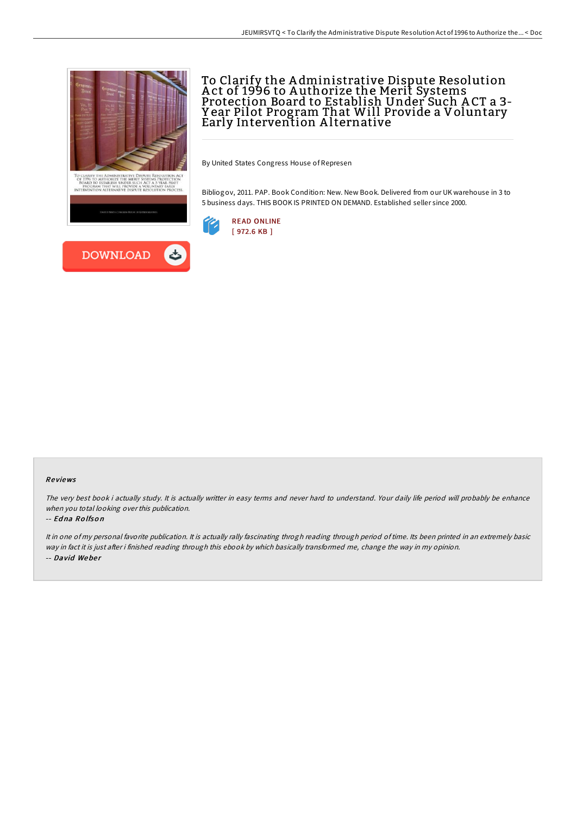



# To Clarify the A dministrative Dispute Resolution A ct of 1996 to A uthorize the Merit Systems Protection Board to Establish Under Such A CT a 3- Y ear Pilot Program That Will Provide a Voluntary Early Intervention A lternative

By United States Congress House of Represen

Bibliogov, 2011. PAP. Book Condition: New. New Book. Delivered from our UK warehouse in 3 to 5 business days. THIS BOOK IS PRINTED ON DEMAND. Established seller since 2000.



### Re views

The very best book i actually study. It is actually writter in easy terms and never hard to understand. Your daily life period will probably be enhance when you total looking over this publication.

### -- Ed na Ro lfso <sup>n</sup>

It in one of my personal favorite publication. It is actually rally fascinating throgh reading through period of time. Its been printed in an extremely basic way in fact it is just after i finished reading through this ebook by which basically transformed me, change the way in my opinion. -- David Weber